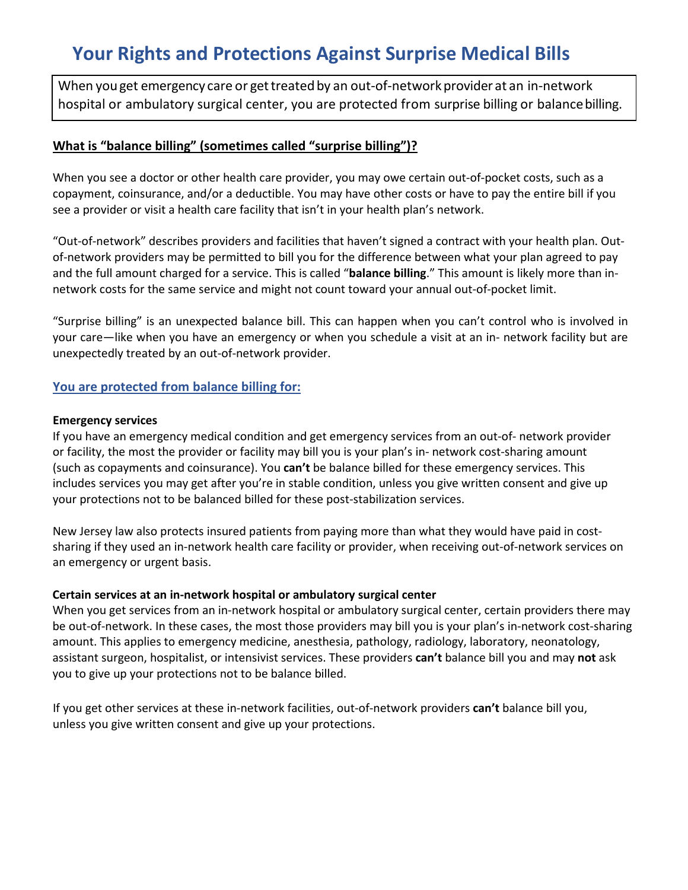# **Your Rights and Protections Against Surprise Medical Bills**

When you get emergency care or get treated by an out-of-network provider at an in-network hospital or ambulatory surgical center, you are protected from surprise billing or balancebilling.

### **What is "balance billing" (sometimes called "surprise billing")?**

When you see a doctor or other health care provider, you may owe certain out-of-pocket costs, such as a copayment, coinsurance, and/or a deductible. You may have other costs or have to pay the entire bill if you see a provider or visit a health care facility that isn't in your health plan's network.

"Out-of-network" describes providers and facilities that haven't signed a contract with your health plan. Outof-network providers may be permitted to bill you for the difference between what your plan agreed to pay and the full amount charged for a service. This is called "**balance billing**." This amount is likely more than innetwork costs for the same service and might not count toward your annual out-of-pocket limit.

"Surprise billing" is an unexpected balance bill. This can happen when you can't control who is involved in your care—like when you have an emergency or when you schedule a visit at an in- network facility but are unexpectedly treated by an out-of-network provider.

### **You are protected from balance billing for:**

#### **Emergency services**

If you have an emergency medical condition and get emergency services from an out-of- network provider or facility, the most the provider or facility may bill you is your plan's in- network cost-sharing amount (such as copayments and coinsurance). You **can't** be balance billed for these emergency services. This includes services you may get after you're in stable condition, unless you give written consent and give up your protections not to be balanced billed for these post-stabilization services.

New Jersey law also protects insured patients from paying more than what they would have paid in costsharing if they used an in-network health care facility or provider, when receiving out-of-network services on an emergency or urgent basis.

#### **Certain services at an in-network hospital or ambulatory surgical center**

When you get services from an in-network hospital or ambulatory surgical center, certain providers there may be out-of-network. In these cases, the most those providers may bill you is your plan's in-network cost-sharing amount. This applies to emergency medicine, anesthesia, pathology, radiology, laboratory, neonatology, assistant surgeon, hospitalist, or intensivist services. These providers **can't** balance bill you and may **not** ask you to give up your protections not to be balance billed.

If you get other services at these in-network facilities, out-of-network providers **can't** balance bill you, unless you give written consent and give up your protections.